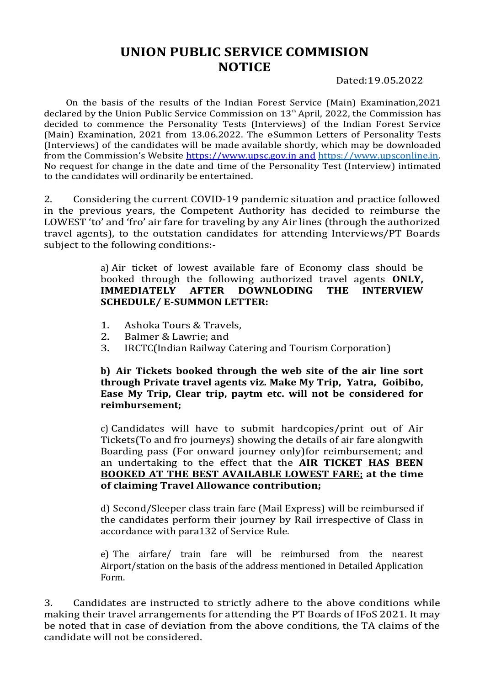## UNION PUBLIC SERVICE COMMISION NOTICE

Dated:19.05.2022

On the basis of the results of the Indian Forest Service (Main) Examination,2021 declared by the Union Public Service Commission on  $13<sup>th</sup>$  April, 2022, the Commission has decided to commence the Personality Tests (Interviews) of the Indian Forest Service (Main) Examination, 2021 from 13.06.2022. The eSummon Letters of Personality Tests (Interviews) of the candidates will be made available shortly, which may be downloaded from the Commission's Website https://www.upsc.gov.in and https://www.upsconline.in.<br>No request for change in the date and time of the Personality Test (Interview) intimated to the candidates will ordinarily be entertained.

2. Considering the current COVID-19 pandemic situation and practice followed in the previous years, the Competent Authority has decided to reimburse the LOWEST 'to' and 'fro' air fare for traveling by any Air lines (through the authorized travel agents), to the outstation candidates for attending Interviews/PT Boards subject to the following conditions:-

> a) Air ticket of lowest available fare of Economy class should be booked through the following authorized travel agents ONLY, IMMEDIATELY AFTER DOWNLODING THE INTERVIEW SCHEDULE/ E-SUMMON LETTER:

- 1. Ashoka Tours & Travels,
- 2. Balmer & Lawrie; and
- 3. IRCTC(Indian Railway Catering and Tourism Corporation)

b) Air Tickets booked through the web site of the air line sort through Private travel agents viz. Make My Trip, Yatra, Goibibo, Ease My Trip, Clear trip, paytm etc. will not be considered for reimbursement;

c) Candidates will have to submit hardcopies/print out of Air Tickets(To and fro journeys) showing the details of air fare alongwith Boarding pass (For onward journey only)for reimbursement; and an undertaking to the effect that the AIR TICKET HAS BEEN BOOKED AT THE BEST AVAILABLE LOWEST FARE; at the time of claiming Travel Allowance contribution;

d) Second/Sleeper class train fare (Mail Express) will be reimbursed if the candidates perform their journey by Rail irrespective of Class in accordance with para132 of Service Rule.

e) The airfare/ train fare will be reimbursed from the nearest Airport/station on the basis of the address mentioned in Detailed Application Form.

3. Candidates are instructed to strictly adhere to the above conditions while making their travel arrangements for attending the PT Boards of IFoS 2021. It may be noted that in case of deviation from the above conditions, the TA claims of the candidate will not be considered.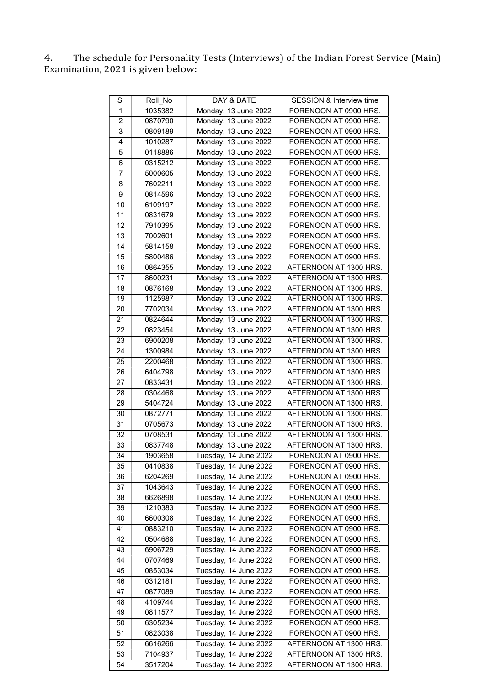4. The schedule for Personality Tests (Interviews) of the Indian Forest Service (Main) Examination, 2021 is given below:

| SI             | Roll No | DAY & DATE            | <b>SESSION &amp; Interview time</b> |
|----------------|---------|-----------------------|-------------------------------------|
| $\mathbf{1}$   | 1035382 | Monday, 13 June 2022  | FORENOON AT 0900 HRS.               |
| $\overline{2}$ | 0870790 | Monday, 13 June 2022  | FORENOON AT 0900 HRS.               |
| 3              | 0809189 | Monday, 13 June 2022  | FORENOON AT 0900 HRS.               |
| $\overline{4}$ |         |                       |                                     |
|                | 1010287 | Monday, 13 June 2022  | FORENOON AT 0900 HRS.               |
| 5              | 0118886 | Monday, 13 June 2022  | FORENOON AT 0900 HRS.               |
| 6              | 0315212 | Monday, 13 June 2022  | FORENOON AT 0900 HRS.               |
| 7              | 5000605 | Monday, 13 June 2022  | FORENOON AT 0900 HRS.               |
| 8              | 7602211 | Monday, 13 June 2022  | FORENOON AT 0900 HRS.               |
| 9              | 0814596 | Monday, 13 June 2022  | FORENOON AT 0900 HRS.               |
| 10             | 6109197 | Monday, 13 June 2022  | FORENOON AT 0900 HRS.               |
| 11             | 0831679 | Monday, 13 June 2022  | FORENOON AT 0900 HRS.               |
| 12             | 7910395 | Monday, 13 June 2022  | FORENOON AT 0900 HRS.               |
| 13             | 7002601 | Monday, 13 June 2022  | FORENOON AT 0900 HRS.               |
| 14             | 5814158 | Monday, 13 June 2022  | FORENOON AT 0900 HRS.               |
| 15             | 5800486 | Monday, 13 June 2022  | FORENOON AT 0900 HRS.               |
| 16             | 0864355 | Monday, 13 June 2022  | AFTERNOON AT 1300 HRS.              |
| 17             | 8600231 | Monday, 13 June 2022  | AFTERNOON AT 1300 HRS.              |
| 18             | 0876168 | Monday, 13 June 2022  | AFTERNOON AT 1300 HRS.              |
| 19             | 1125987 | Monday, 13 June 2022  | AFTERNOON AT 1300 HRS.              |
|                |         | Monday, 13 June 2022  | AFTERNOON AT 1300 HRS.              |
| 20             | 7702034 |                       |                                     |
| 21             | 0824644 | Monday, 13 June 2022  | AFTERNOON AT 1300 HRS.              |
| 22             | 0823454 | Monday, 13 June 2022  | AFTERNOON AT 1300 HRS.              |
| 23             | 6900208 | Monday, 13 June 2022  | AFTERNOON AT 1300 HRS.              |
| 24             | 1300984 | Monday, 13 June 2022  | AFTERNOON AT 1300 HRS.              |
| 25             | 2200468 | Monday, 13 June 2022  | AFTERNOON AT 1300 HRS.              |
| 26             | 6404798 | Monday, 13 June 2022  | AFTERNOON AT 1300 HRS.              |
| 27             | 0833431 | Monday, 13 June 2022  | AFTERNOON AT 1300 HRS.              |
| 28             | 0304468 | Monday, 13 June 2022  | AFTERNOON AT 1300 HRS.              |
| 29             | 5404724 | Monday, 13 June 2022  | AFTERNOON AT 1300 HRS.              |
| 30             | 0872771 | Monday, 13 June 2022  | AFTERNOON AT 1300 HRS.              |
| 31             | 0705673 | Monday, 13 June 2022  | AFTERNOON AT 1300 HRS.              |
| 32             | 0708531 | Monday, 13 June 2022  | AFTERNOON AT 1300 HRS.              |
| 33             | 0837748 | Monday, 13 June 2022  | AFTERNOON AT 1300 HRS.              |
| 34             | 1903658 | Tuesday, 14 June 2022 | FORENOON AT 0900 HRS.               |
| 35             | 0410838 | Tuesday, 14 June 2022 | FORENOON AT 0900 HRS.               |
| 36             | 6204269 | Tuesday, 14 June 2022 | FORENOON AT 0900 HRS.               |
| 37             | 1043643 | Tuesday, 14 June 2022 | FORENOON AT 0900 HRS.               |
| 38             | 6626898 | Tuesday, 14 June 2022 | FORENOON AT 0900 HRS.               |
| 39             | 1210383 | Tuesday, 14 June 2022 | FORENOON AT 0900 HRS.               |
| 40             |         |                       | FORENOON AT 0900 HRS.               |
|                | 6600308 | Tuesday, 14 June 2022 |                                     |
| 41             | 0883210 | Tuesday, 14 June 2022 | FORENOON AT 0900 HRS.               |
| 42             | 0504688 | Tuesday, 14 June 2022 | FORENOON AT 0900 HRS.               |
| 43             | 6906729 | Tuesday, 14 June 2022 | FORENOON AT 0900 HRS.               |
| 44             | 0707469 | Tuesday, 14 June 2022 | FORENOON AT 0900 HRS.               |
| 45             | 0853034 | Tuesday, 14 June 2022 | FORENOON AT 0900 HRS.               |
| 46             | 0312181 | Tuesday, 14 June 2022 | FORENOON AT 0900 HRS.               |
| 47             | 0877089 | Tuesday, 14 June 2022 | FORENOON AT 0900 HRS.               |
| 48             | 4109744 | Tuesday, 14 June 2022 | FORENOON AT 0900 HRS.               |
| 49             | 0811577 | Tuesday, 14 June 2022 | FORENOON AT 0900 HRS.               |
| 50             | 6305234 | Tuesday, 14 June 2022 | FORENOON AT 0900 HRS.               |
| 51             | 0823038 | Tuesday, 14 June 2022 | FORENOON AT 0900 HRS.               |
| 52             | 6616266 | Tuesday, 14 June 2022 | AFTERNOON AT 1300 HRS.              |
| 53             | 7104937 | Tuesday, 14 June 2022 | AFTERNOON AT 1300 HRS.              |
| 54             | 3517204 | Tuesday, 14 June 2022 | AFTERNOON AT 1300 HRS.              |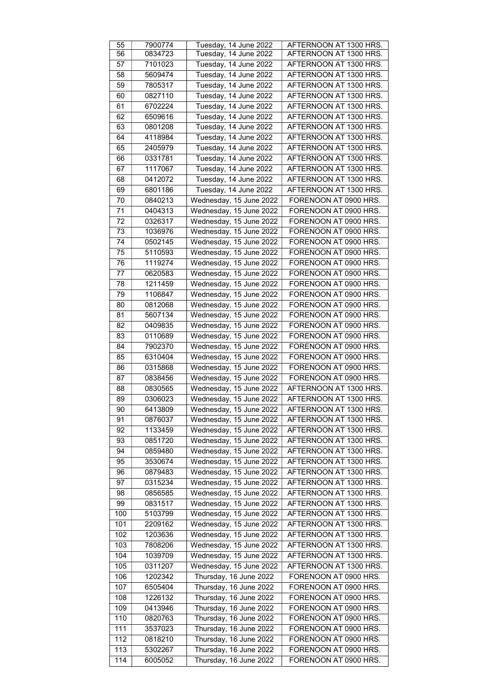| 55              | 7900774 | Tuesday, 14 June 2022   | AFTERNOON AT 1300 HRS. |
|-----------------|---------|-------------------------|------------------------|
| 56              | 0834723 | Tuesday, 14 June 2022   | AFTERNOON AT 1300 HRS. |
|                 |         |                         |                        |
| 57              | 7101023 | Tuesday, 14 June 2022   | AFTERNOON AT 1300 HRS. |
| 58              | 5609474 | Tuesday, 14 June 2022   | AFTERNOON AT 1300 HRS. |
| 59              | 7805317 | Tuesday, 14 June 2022   | AFTERNOON AT 1300 HRS. |
| 60              | 0827110 | Tuesday, 14 June 2022   | AFTERNOON AT 1300 HRS. |
|                 |         |                         |                        |
| 61              | 6702224 | Tuesday, 14 June 2022   | AFTERNOON AT 1300 HRS. |
| 62              | 6509616 | Tuesday, 14 June 2022   | AFTERNOON AT 1300 HRS. |
| 63              | 0801208 | Tuesday, 14 June 2022   | AFTERNOON AT 1300 HRS. |
|                 |         |                         |                        |
| 64              | 4118984 | Tuesday, 14 June 2022   | AFTERNOON AT 1300 HRS. |
| 65              | 2405979 | Tuesday, 14 June 2022   | AFTERNOON AT 1300 HRS. |
| 66              | 0331781 | Tuesday, 14 June 2022   | AFTERNOON AT 1300 HRS. |
| 67              | 1117067 | Tuesday, 14 June 2022   | AFTERNOON AT 1300 HRS. |
|                 |         |                         |                        |
| 68              | 0412072 | Tuesday, 14 June 2022   | AFTERNOON AT 1300 HRS. |
| 69              | 6801186 | Tuesday, 14 June 2022   | AFTERNOON AT 1300 HRS. |
| 70              | 0840213 | Wednesday, 15 June 2022 | FORENOON AT 0900 HRS.  |
|                 |         |                         |                        |
| 71              | 0404313 | Wednesday, 15 June 2022 | FORENOON AT 0900 HRS.  |
| 72              | 0326317 | Wednesday, 15 June 2022 | FORENOON AT 0900 HRS.  |
| 73              | 1036976 | Wednesday, 15 June 2022 | FORENOON AT 0900 HRS.  |
| $\overline{74}$ | 0502145 | Wednesday, 15 June 2022 | FORENOON AT 0900 HRS.  |
|                 |         |                         |                        |
| 75              | 5110593 | Wednesday, 15 June 2022 | FORENOON AT 0900 HRS.  |
| 76              | 1119274 | Wednesday, 15 June 2022 | FORENOON AT 0900 HRS.  |
| 77              | 0620583 | Wednesday, 15 June 2022 | FORENOON AT 0900 HRS.  |
|                 | 1211459 | Wednesday, 15 June 2022 | FORENOON AT 0900 HRS.  |
| 78              |         |                         |                        |
| 79              | 1106847 | Wednesday, 15 June 2022 | FORENOON AT 0900 HRS.  |
| 80              | 0812068 | Wednesday, 15 June 2022 | FORENOON AT 0900 HRS.  |
| 81              | 5607134 | Wednesday, 15 June 2022 | FORENOON AT 0900 HRS.  |
|                 |         |                         |                        |
| 82              | 0409835 | Wednesday, 15 June 2022 | FORENOON AT 0900 HRS.  |
| 83              | 0110689 | Wednesday, 15 June 2022 | FORENOON AT 0900 HRS.  |
| 84              | 7902370 | Wednesday, 15 June 2022 | FORENOON AT 0900 HRS.  |
| 85              | 6310404 | Wednesday, 15 June 2022 | FORENOON AT 0900 HRS.  |
|                 |         |                         |                        |
| 86              | 0315868 | Wednesday, 15 June 2022 | FORENOON AT 0900 HRS.  |
| 87              | 0838456 | Wednesday, 15 June 2022 | FORENOON AT 0900 HRS.  |
| 88              | 0830565 | Wednesday, 15 June 2022 | AFTERNOON AT 1300 HRS. |
| 89              | 0306023 | Wednesday, 15 June 2022 | AFTERNOON AT 1300 HRS. |
|                 |         |                         |                        |
| 90              | 6413809 | Wednesday, 15 June 2022 | AFTERNOON AT 1300 HRS. |
| 91              | 0876037 | Wednesday, 15 June 2022 | AFTERNOON AT 1300 HRS. |
| 92              | 1133459 | Wednesday, 15 June 2022 | AFTERNOON AT 1300 HRS. |
| 93              | 0851720 | Wednesday, 15 June 2022 | AFTERNOON AT 1300 HRS. |
|                 |         |                         |                        |
| 94              | 0859480 | Wednesday, 15 June 2022 | AFTERNOON AT 1300 HRS. |
| 95              | 3530674 | Wednesday, 15 June 2022 | AFTERNOON AT 1300 HRS. |
| 96              | 0879483 | Wednesday, 15 June 2022 | AFTERNOON AT 1300 HRS. |
| 97              |         |                         | AFTERNOON AT 1300 HRS. |
|                 | 0315234 | Wednesday, 15 June 2022 |                        |
| 98              | 0856585 | Wednesday, 15 June 2022 | AFTERNOON AT 1300 HRS. |
| 99              | 0831517 | Wednesday, 15 June 2022 | AFTERNOON AT 1300 HRS. |
| 100             | 5103799 | Wednesday, 15 June 2022 | AFTERNOON AT 1300 HRS. |
| 101             | 2209162 | Wednesday, 15 June 2022 | AFTERNOON AT 1300 HRS. |
|                 |         |                         |                        |
| 102             | 1203636 | Wednesday, 15 June 2022 | AFTERNOON AT 1300 HRS. |
| 103             | 7808206 | Wednesday, 15 June 2022 | AFTERNOON AT 1300 HRS. |
| 104             | 1039709 | Wednesday, 15 June 2022 | AFTERNOON AT 1300 HRS. |
|                 |         |                         |                        |
| 105             | 0311207 | Wednesday, 15 June 2022 | AFTERNOON AT 1300 HRS. |
| 106             | 1202342 | Thursday, 16 June 2022  | FORENOON AT 0900 HRS.  |
| 107             | 6505404 | Thursday, 16 June 2022  | FORENOON AT 0900 HRS.  |
| 108             | 1226132 | Thursday, 16 June 2022  | FORENOON AT 0900 HRS.  |
|                 |         |                         |                        |
| 109             | 0413946 | Thursday, 16 June 2022  | FORENOON AT 0900 HRS.  |
| 110             | 0820763 | Thursday, 16 June 2022  | FORENOON AT 0900 HRS.  |
| 111             | 3537023 | Thursday, 16 June 2022  | FORENOON AT 0900 HRS.  |
| 112             | 0818210 | Thursday, 16 June 2022  | FORENOON AT 0900 HRS.  |
|                 |         |                         |                        |
| 113             | 5302267 | Thursday, 16 June 2022  | FORENOON AT 0900 HRS.  |
| 114             | 6005052 | Thursday, 16 June 2022  | FORENOON AT 0900 HRS.  |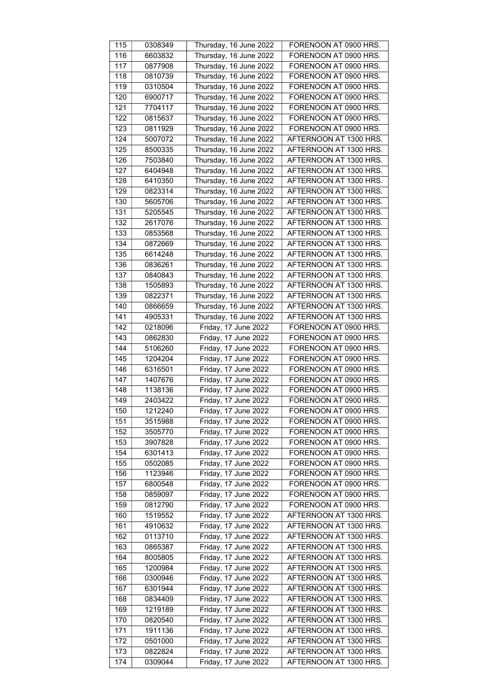| 115              | 0308349 | Thursday, 16 June 2022 | FORENOON AT 0900 HRS.  |
|------------------|---------|------------------------|------------------------|
| 116              | 6603832 | Thursday, 16 June 2022 | FORENOON AT 0900 HRS.  |
| 117              |         | Thursday, 16 June 2022 | FORENOON AT 0900 HRS.  |
|                  | 0877908 |                        |                        |
| $\overline{118}$ | 0810739 | Thursday, 16 June 2022 | FORENOON AT 0900 HRS.  |
| 119              | 0310504 | Thursday, 16 June 2022 | FORENOON AT 0900 HRS.  |
| 120              | 6900717 | Thursday, 16 June 2022 | FORENOON AT 0900 HRS.  |
| 121              | 7704117 | Thursday, 16 June 2022 | FORENOON AT 0900 HRS.  |
| 122              | 0815637 | Thursday, 16 June 2022 | FORENOON AT 0900 HRS.  |
| 123              | 0811929 | Thursday, 16 June 2022 | FORENOON AT 0900 HRS.  |
| 124              | 5007072 | Thursday, 16 June 2022 | AFTERNOON AT 1300 HRS. |
| 125              | 8500335 | Thursday, 16 June 2022 | AFTERNOON AT 1300 HRS. |
| 126              | 7503840 | Thursday, 16 June 2022 | AFTERNOON AT 1300 HRS. |
| 127              | 6404948 | Thursday, 16 June 2022 | AFTERNOON AT 1300 HRS. |
| 128              | 6410350 | Thursday, 16 June 2022 | AFTERNOON AT 1300 HRS. |
| 129              | 0823314 | Thursday, 16 June 2022 | AFTERNOON AT 1300 HRS. |
| 130              |         |                        |                        |
|                  | 5605706 | Thursday, 16 June 2022 | AFTERNOON AT 1300 HRS. |
| 131              | 5205545 | Thursday, 16 June 2022 | AFTERNOON AT 1300 HRS. |
| 132              | 2617076 | Thursday, 16 June 2022 | AFTERNOON AT 1300 HRS. |
| 133              | 0853568 | Thursday, 16 June 2022 | AFTERNOON AT 1300 HRS. |
| 134              | 0872669 | Thursday, 16 June 2022 | AFTERNOON AT 1300 HRS. |
| 135              | 6614248 | Thursday, 16 June 2022 | AFTERNOON AT 1300 HRS. |
| 136              | 0836261 | Thursday, 16 June 2022 | AFTERNOON AT 1300 HRS. |
| 137              | 0840843 | Thursday, 16 June 2022 | AFTERNOON AT 1300 HRS. |
| 138              | 1505893 | Thursday, 16 June 2022 | AFTERNOON AT 1300 HRS. |
| 139              | 0822371 | Thursday, 16 June 2022 | AFTERNOON AT 1300 HRS. |
| 140              | 0866659 | Thursday, 16 June 2022 | AFTERNOON AT 1300 HRS. |
| 141              | 4905331 | Thursday, 16 June 2022 | AFTERNOON AT 1300 HRS. |
|                  |         |                        | FORENOON AT 0900 HRS.  |
| 142              | 0218096 | Friday, 17 June 2022   |                        |
| 143              | 0862830 | Friday, 17 June 2022   | FORENOON AT 0900 HRS.  |
| 144              | 5106260 | Friday, 17 June 2022   | FORENOON AT 0900 HRS.  |
| 145              | 1204204 | Friday, 17 June 2022   | FORENOON AT 0900 HRS.  |
| 146              | 6316501 | Friday, 17 June 2022   | FORENOON AT 0900 HRS.  |
| 147              | 1407676 | Friday, 17 June 2022   | FORENOON AT 0900 HRS.  |
| 148              | 1138136 | Friday, 17 June 2022   | FORENOON AT 0900 HRS.  |
| 149              | 2403422 | Friday, 17 June 2022   | FORENOON AT 0900 HRS.  |
| 150              | 1212240 | Friday, 17 June 2022   | FORENOON AT 0900 HRS.  |
| 151              | 3515988 | Friday, 17 June 2022   | FORENOON AT 0900 HRS.  |
| 152              | 3505770 | Friday, 17 June 2022   | FORENOON AT 0900 HRS.  |
| 153              | 3907828 | Friday, 17 June 2022   | FORENOON AT 0900 HRS.  |
| 154              | 6301413 | Friday, 17 June 2022   | FORENOON AT 0900 HRS.  |
| 155              | 0502085 | Friday, 17 June 2022   | FORENOON AT 0900 HRS.  |
| 156              | 1123946 | Friday, 17 June 2022   | FORENOON AT 0900 HRS.  |
| 157              | 6800548 | Friday, 17 June 2022   | FORENOON AT 0900 HRS.  |
|                  |         |                        |                        |
| 158              | 0859097 | Friday, 17 June 2022   | FORENOON AT 0900 HRS.  |
| 159              | 0812790 | Friday, 17 June 2022   | FORENOON AT 0900 HRS.  |
| 160              | 1519552 | Friday, 17 June 2022   | AFTERNOON AT 1300 HRS. |
| 161              | 4910632 | Friday, 17 June 2022   | AFTERNOON AT 1300 HRS. |
| 162              | 0113710 | Friday, 17 June 2022   | AFTERNOON AT 1300 HRS. |
| 163              | 0865387 | Friday, 17 June 2022   | AFTERNOON AT 1300 HRS. |
| 164              | 8005805 | Friday, 17 June 2022   | AFTERNOON AT 1300 HRS. |
| 165              | 1200984 | Friday, 17 June 2022   | AFTERNOON AT 1300 HRS. |
| 166              | 0300946 | Friday, 17 June 2022   | AFTERNOON AT 1300 HRS. |
| 167              | 6301944 | Friday, 17 June 2022   | AFTERNOON AT 1300 HRS. |
| 168              | 0834409 | Friday, 17 June 2022   | AFTERNOON AT 1300 HRS. |
| 169              | 1219189 | Friday, 17 June 2022   | AFTERNOON AT 1300 HRS. |
| 170              | 0820540 | Friday, 17 June 2022   | AFTERNOON AT 1300 HRS. |
| 171              | 1911136 | Friday, 17 June 2022   | AFTERNOON AT 1300 HRS. |
| 172              | 0501000 | Friday, 17 June 2022   | AFTERNOON AT 1300 HRS. |
|                  |         |                        |                        |
| 173              | 0822824 | Friday, 17 June 2022   | AFTERNOON AT 1300 HRS. |
| 174              | 0309044 | Friday, 17 June 2022   | AFTERNOON AT 1300 HRS. |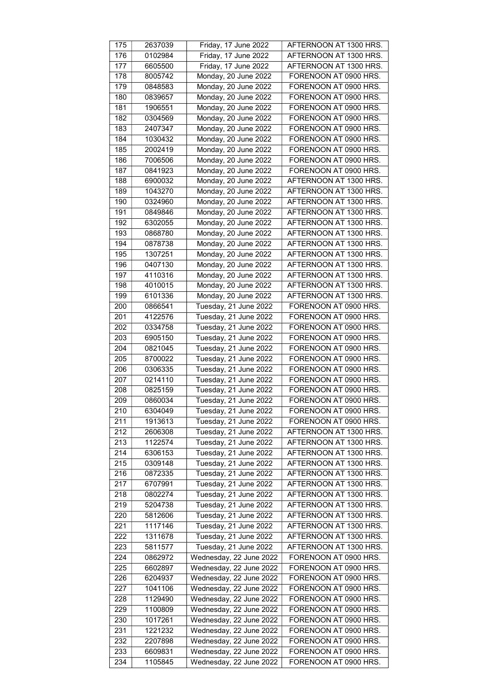| 175              | 2637039 | Friday, 17 June 2022    | AFTERNOON AT 1300 HRS. |
|------------------|---------|-------------------------|------------------------|
| 176              | 0102984 | Friday, 17 June 2022    | AFTERNOON AT 1300 HRS. |
| 177              | 6605500 | Friday, 17 June 2022    | AFTERNOON AT 1300 HRS. |
| $\overline{178}$ | 8005742 | Monday, 20 June 2022    | FORENOON AT 0900 HRS.  |
| 179              | 0848583 | Monday, 20 June 2022    | FORENOON AT 0900 HRS.  |
| 180              | 0839657 | Monday, 20 June 2022    | FORENOON AT 0900 HRS.  |
| 181              | 1906551 | Monday, 20 June 2022    | FORENOON AT 0900 HRS.  |
|                  |         |                         |                        |
| 182              | 0304569 | Monday, 20 June 2022    | FORENOON AT 0900 HRS.  |
| 183              | 2407347 | Monday, 20 June 2022    | FORENOON AT 0900 HRS.  |
| 184              | 1030432 | Monday, 20 June 2022    | FORENOON AT 0900 HRS.  |
| 185              | 2002419 | Monday, 20 June 2022    | FORENOON AT 0900 HRS.  |
| 186              | 7006506 | Monday, 20 June 2022    | FORENOON AT 0900 HRS.  |
| 187              | 0841923 | Monday, 20 June 2022    | FORENOON AT 0900 HRS.  |
| 188              | 6900032 | Monday, 20 June 2022    | AFTERNOON AT 1300 HRS. |
| 189              | 1043270 | Monday, 20 June 2022    | AFTERNOON AT 1300 HRS. |
| 190              | 0324960 | Monday, 20 June 2022    | AFTERNOON AT 1300 HRS. |
| 191              | 0849846 | Monday, 20 June 2022    | AFTERNOON AT 1300 HRS. |
| 192              | 6302055 | Monday, 20 June 2022    | AFTERNOON AT 1300 HRS. |
| 193              | 0868780 | Monday, 20 June 2022    | AFTERNOON AT 1300 HRS. |
| 194              | 0878738 | Monday, 20 June 2022    | AFTERNOON AT 1300 HRS. |
| 195              | 1307251 | Monday, 20 June 2022    | AFTERNOON AT 1300 HRS. |
| 196              | 0407130 | Monday, 20 June 2022    | AFTERNOON AT 1300 HRS. |
| 197              | 4110316 | Monday, 20 June 2022    | AFTERNOON AT 1300 HRS. |
| 198              | 4010015 | Monday, 20 June 2022    | AFTERNOON AT 1300 HRS. |
| 199              | 6101336 | Monday, 20 June 2022    | AFTERNOON AT 1300 HRS. |
| 200              | 0866541 | Tuesday, 21 June 2022   | FORENOON AT 0900 HRS.  |
| 201              | 4122576 | Tuesday, 21 June 2022   | FORENOON AT 0900 HRS.  |
| 202              | 0334758 | Tuesday, 21 June 2022   | FORENOON AT 0900 HRS.  |
| 203              | 6905150 | Tuesday, 21 June 2022   | FORENOON AT 0900 HRS.  |
| 204              | 0821045 | Tuesday, 21 June 2022   | FORENOON AT 0900 HRS.  |
| 205              | 8700022 | Tuesday, 21 June 2022   | FORENOON AT 0900 HRS.  |
|                  |         |                         | FORENOON AT 0900 HRS.  |
| 206              | 0306335 | Tuesday, 21 June 2022   |                        |
| 207              | 0214110 | Tuesday, 21 June 2022   | FORENOON AT 0900 HRS.  |
| 208              | 0825159 | Tuesday, 21 June 2022   | FORENOON AT 0900 HRS.  |
| 209              | 0860034 | Tuesday, 21 June 2022   | FORENOON AT 0900 HRS.  |
| 210              | 6304049 | Tuesday, 21 June 2022   | FORENOON AT 0900 HRS.  |
| 211              | 1913613 | Tuesday, 21 June 2022   | FORENOON AT 0900 HRS.  |
| 212              | 2606308 | Tuesday, 21 June 2022   | AFTERNOON AT 1300 HRS. |
| $\overline{213}$ | 1122574 | Tuesday, 21 June 2022   | AFTERNOON AT 1300 HRS. |
| 214              | 6306153 | Tuesday, 21 June 2022   | AFTERNOON AT 1300 HRS. |
| 215              | 0309148 | Tuesday, 21 June 2022   | AFTERNOON AT 1300 HRS. |
| 216              | 0872335 | Tuesday, 21 June 2022   | AFTERNOON AT 1300 HRS. |
| 217              | 6707991 | Tuesday, 21 June 2022   | AFTERNOON AT 1300 HRS. |
| 218              | 0802274 | Tuesday, 21 June 2022   | AFTERNOON AT 1300 HRS. |
| 219              | 5204738 | Tuesday, 21 June 2022   | AFTERNOON AT 1300 HRS. |
| 220              | 5812606 | Tuesday, 21 June 2022   | AFTERNOON AT 1300 HRS. |
| 221              | 1117146 | Tuesday, 21 June 2022   | AFTERNOON AT 1300 HRS. |
| 222              | 1311678 | Tuesday, 21 June 2022   | AFTERNOON AT 1300 HRS. |
| 223              | 5811577 | Tuesday, 21 June 2022   | AFTERNOON AT 1300 HRS. |
| 224              | 0862972 | Wednesday, 22 June 2022 | FORENOON AT 0900 HRS.  |
| 225              | 6602897 | Wednesday, 22 June 2022 | FORENOON AT 0900 HRS.  |
| 226              | 6204937 | Wednesday, 22 June 2022 | FORENOON AT 0900 HRS.  |
| 227              | 1041106 | Wednesday, 22 June 2022 | FORENOON AT 0900 HRS.  |
| 228              | 1129490 | Wednesday, 22 June 2022 | FORENOON AT 0900 HRS.  |
| 229              | 1100809 | Wednesday, 22 June 2022 | FORENOON AT 0900 HRS.  |
| 230              | 1017261 | Wednesday, 22 June 2022 | FORENOON AT 0900 HRS.  |
| 231              | 1221232 | Wednesday, 22 June 2022 | FORENOON AT 0900 HRS.  |
| 232              |         |                         |                        |
|                  | 2207898 | Wednesday, 22 June 2022 | FORENOON AT 0900 HRS.  |
| 233              | 6609831 | Wednesday, 22 June 2022 | FORENOON AT 0900 HRS.  |
| 234              | 1105845 | Wednesday, 22 June 2022 | FORENOON AT 0900 HRS.  |